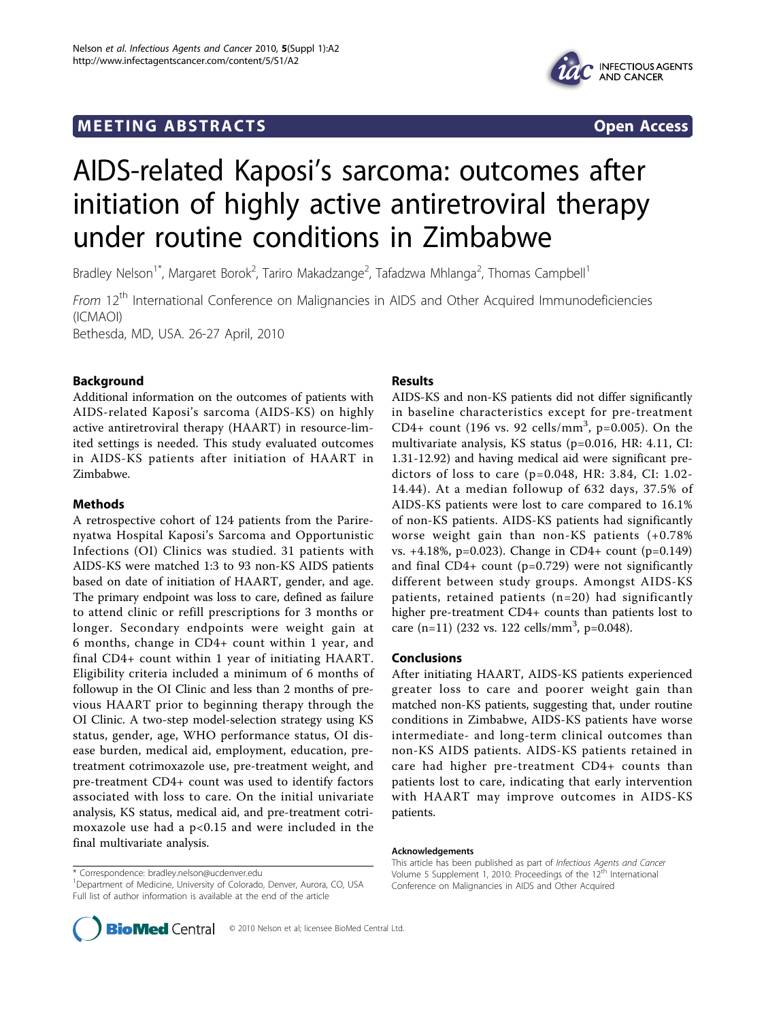# **MEETING ABSTRACTS** And the state of the state of the state of the state of the state of the state of the state of the state of the state of the state of the state of the state of the state of the state of the state of the



# AIDS-related Kaposi's sarcoma: outcomes after initiation of highly active antiretroviral therapy under routine conditions in Zimbabwe

Bradley Nelson<sup>1\*</sup>, Margaret Borok<sup>2</sup>, Tariro Makadzange<sup>2</sup>, Tafadzwa Mhlanga<sup>2</sup>, Thomas Campbell<sup>1</sup>

From 12<sup>th</sup> International Conference on Malignancies in AIDS and Other Acquired Immunodeficiencies (ICMAOI)

Bethesda, MD, USA. 26-27 April, 2010

## Background

Additional information on the outcomes of patients with AIDS-related Kaposi's sarcoma (AIDS-KS) on highly active antiretroviral therapy (HAART) in resource-limited settings is needed. This study evaluated outcomes in AIDS-KS patients after initiation of HAART in Zimbabwe.

### Methods

A retrospective cohort of 124 patients from the Parirenyatwa Hospital Kaposi's Sarcoma and Opportunistic Infections (OI) Clinics was studied. 31 patients with AIDS-KS were matched 1:3 to 93 non-KS AIDS patients based on date of initiation of HAART, gender, and age. The primary endpoint was loss to care, defined as failure to attend clinic or refill prescriptions for 3 months or longer. Secondary endpoints were weight gain at 6 months, change in CD4+ count within 1 year, and final CD4+ count within 1 year of initiating HAART. Eligibility criteria included a minimum of 6 months of followup in the OI Clinic and less than 2 months of previous HAART prior to beginning therapy through the OI Clinic. A two-step model-selection strategy using KS status, gender, age, WHO performance status, OI disease burden, medical aid, employment, education, pretreatment cotrimoxazole use, pre-treatment weight, and pre-treatment CD4+ count was used to identify factors associated with loss to care. On the initial univariate analysis, KS status, medical aid, and pre-treatment cotrimoxazole use had a  $p<0.15$  and were included in the final multivariate analysis.

\* Correspondence: [bradley.nelson@ucdenver.edu](mailto:bradley.nelson@ucdenver.edu)

#### Results

AIDS-KS and non-KS patients did not differ significantly in baseline characteristics except for pre-treatment CD4+ count (196 vs. 92 cells/mm<sup>3</sup>, p=0.005). On the multivariate analysis, KS status (p=0.016, HR: 4.11, CI: 1.31-12.92) and having medical aid were significant predictors of loss to care (p=0.048, HR: 3.84, CI: 1.02- 14.44). At a median followup of 632 days, 37.5% of AIDS-KS patients were lost to care compared to 16.1% of non-KS patients. AIDS-KS patients had significantly worse weight gain than non-KS patients (+0.78% vs. +4.18%, p=0.023). Change in CD4+ count (p=0.149) and final  $CD4+$  count (p=0.729) were not significantly different between study groups. Amongst AIDS-KS patients, retained patients (n=20) had significantly higher pre-treatment CD4+ counts than patients lost to care  $(n=11)$  (232 vs. 122 cells/mm<sup>3</sup>, p=0.048).

#### Conclusions

After initiating HAART, AIDS-KS patients experienced greater loss to care and poorer weight gain than matched non-KS patients, suggesting that, under routine conditions in Zimbabwe, AIDS-KS patients have worse intermediate- and long-term clinical outcomes than non-KS AIDS patients. AIDS-KS patients retained in care had higher pre-treatment CD4+ counts than patients lost to care, indicating that early intervention with HAART may improve outcomes in AIDS-KS patients.

#### Acknowledgements

This article has been published as part of Infectious Agents and Cancer Volume 5 Supplement 1, 2010: Proceedings of the 12<sup>th</sup> International Conference on Malignancies in AIDS and Other Acquired

<sup>&</sup>lt;sup>1</sup>Department of Medicine, University of Colorado, Denver, Aurora, CO, USA Full list of author information is available at the end of the article